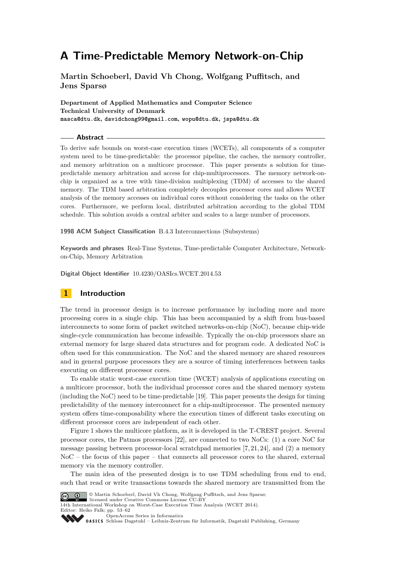# **A Time-Predictable Memory Network-on-Chip**

**Martin Schoeberl, David Vh Chong, Wolfgang Puffitsch, and Jens Sparsø**

**Department of Applied Mathematics and Computer Science Technical University of Denmark masca@dtu.dk, davidchong99@gmail.com, wopu@dtu.dk, jspa@dtu.dk**

#### **Abstract**

To derive safe bounds on worst-case execution times (WCETs), all components of a computer system need to be time-predictable: the processor pipeline, the caches, the memory controller, and memory arbitration on a multicore processor. This paper presents a solution for timepredictable memory arbitration and access for chip-multiprocessors. The memory network-onchip is organized as a tree with time-division multiplexing (TDM) of accesses to the shared memory. The TDM based arbitration completely decouples processor cores and allows WCET analysis of the memory accesses on individual cores without considering the tasks on the other cores. Furthermore, we perform local, distributed arbitration according to the global TDM schedule. This solution avoids a central arbiter and scales to a large number of processors.

**1998 ACM Subject Classification** B.4.3 Interconnections (Subsystems)

**Keywords and phrases** Real-Time Systems, Time-predictable Computer Architecture, Networkon-Chip, Memory Arbitration

**Digital Object Identifier** [10.4230/OASIcs.WCET.2014.53](http://dx.doi.org/10.4230/OASIcs.WCET.2014.53)

# **1 Introduction**

The trend in processor design is to increase performance by including more and more processing cores in a single chip. This has been accompanied by a shift from bus-based interconnects to some form of packet switched networks-on-chip (NoC), because chip-wide single-cycle communication has become infeasible. Typically the on-chip processors share an external memory for large shared data structures and for program code. A dedicated NoC is often used for this communication. The NoC and the shared memory are shared resources and in general purpose processors they are a source of timing interferences between tasks executing on different processor cores.

To enable static worst-case execution time (WCET) analysis of applications executing on a multicore processor, both the individual processor cores and the shared memory system (including the NoC) need to be time-predictable [\[19\]](#page-9-0). This paper presents the design for timing predictability of the memory interconnect for a chip-multiprocessor. The presented memory system offers time-composability where the execution times of different tasks executing on different processor cores are independent of each other.

Figure [1](#page-1-0) shows the multicore platform, as it is developed in the T-CREST project. Several processor cores, the Patmos processors [\[22\]](#page-9-1), are connected to two NoCs: (1) a core NoC for message passing between processor-local scratchpad memories [\[7,](#page-8-0) [21,](#page-9-2) [24\]](#page-9-3), and (2) a memory NoC – the focus of this paper – that connects all processor cores to the shared, external memory via the memory controller.

The main idea of the presented design is to use TDM scheduling from end to end, such that read or write transactions towards the shared memory are transmitted from the



© Martin Schoeberl, David Vh Chong, Wolfgang Puffitsch, and Jens Sparsø; licensed under Creative Commons License CC-BY

14th International Workshop on Worst-Case Execution Time Analysis (WCET 2014). Editor: Heiko Falk; pp. 53[–62](#page-9-4)

[OpenAccess Series in Informatics](http://www.dagstuhl.de/oasics/)

[Schloss Dagstuhl – Leibniz-Zentrum für Informatik, Dagstuhl Publishing, Germany](http://www.dagstuhl.de/)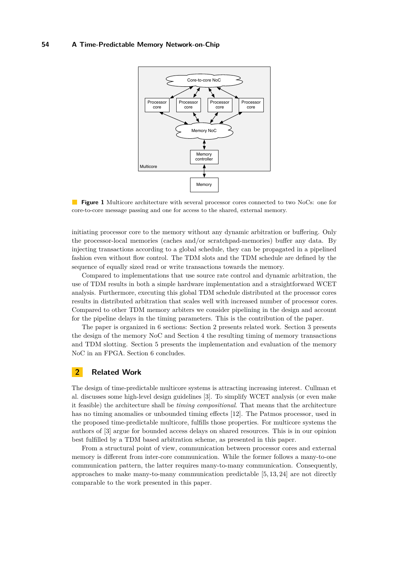<span id="page-1-0"></span>

**Figure 1** Multicore architecture with several processor cores connected to two NoCs: one for core-to-core message passing and one for access to the shared, external memory.

initiating processor core to the memory without any dynamic arbitration or buffering. Only the processor-local memories (caches and/or scratchpad-memories) buffer any data. By injecting transactions according to a global schedule, they can be propagated in a pipelined fashion even without flow control. The TDM slots and the TDM schedule are defined by the sequence of equally sized read or write transactions towards the memory.

Compared to implementations that use source rate control and dynamic arbitration, the use of TDM results in both a simple hardware implementation and a straightforward WCET analysis. Furthermore, executing this global TDM schedule distributed at the processor cores results in distributed arbitration that scales well with increased number of processor cores. Compared to other TDM memory arbiters we consider pipelining in the design and account for the pipeline delays in the timing parameters. This is the contribution of the paper.

The paper is organized in 6 sections: Section [2](#page-1-1) presents related work. Section [3](#page-2-0) presents the design of the memory NoC and Section [4](#page-4-0) the resulting timing of memory transactions and TDM slotting. Section [5](#page-6-0) presents the implementation and evaluation of the memory NoC in an FPGA. Section [6](#page-7-0) concludes.

## <span id="page-1-1"></span>**2 Related Work**

The design of time-predictable multicore systems is attracting increasing interest. Cullman et al. discusses some high-level design guidelines [\[3\]](#page-8-1). To simplify WCET analysis (or even make it feasible) the architecture shall be *timing compositional*. That means that the architecture has no timing anomalies or unbounded timing effects [\[12\]](#page-9-5). The Patmos processor, used in the proposed time-predictable multicore, fulfills those properties. For multicore systems the authors of [\[3\]](#page-8-1) argue for bounded access delays on shared resources. This is in our opinion best fulfilled by a TDM based arbitration scheme, as presented in this paper.

From a structural point of view, communication between processor cores and external memory is different from inter-core communication. While the former follows a many-to-one communication pattern, the latter requires many-to-many communication. Consequently, approaches to make many-to-many communication predictable [\[5,](#page-8-2) [13,](#page-9-6) [24\]](#page-9-3) are not directly comparable to the work presented in this paper.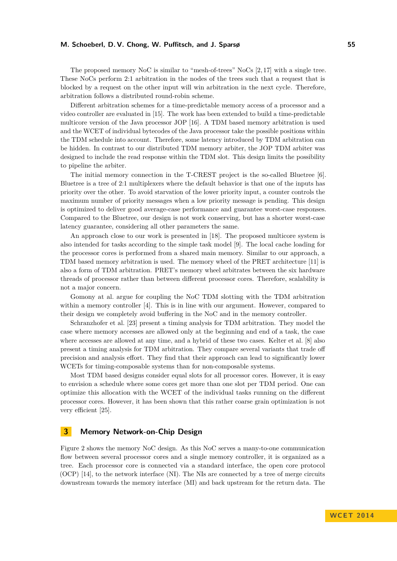### **M. Schoeberl, D. V. Chong, W. Puffitsch, and J. Sparsø 55**

The proposed memory NoC is similar to "mesh-of-trees" NoCs [\[2,](#page-8-3) [17\]](#page-9-7) with a single tree. These NoCs perform 2:1 arbitration in the nodes of the trees such that a request that is blocked by a request on the other input will win arbitration in the next cycle. Therefore, arbitration follows a distributed round-robin scheme.

Different arbitration schemes for a time-predictable memory access of a processor and a video controller are evaluated in [\[15\]](#page-9-8). The work has been extended to build a time-predictable multicore version of the Java processor JOP [\[16\]](#page-9-9). A TDM based memory arbitration is used and the WCET of individual bytecodes of the Java processor take the possible positions within the TDM schedule into account. Therefore, some latency introduced by TDM arbitration can be hidden. In contrast to our distributed TDM memory arbiter, the JOP TDM arbiter was designed to include the read response within the TDM slot. This design limits the possibility to pipeline the arbiter.

The initial memory connection in the T-CREST project is the so-called Bluetree [\[6\]](#page-8-4). Bluetree is a tree of 2:1 multiplexers where the default behavior is that one of the inputs has priority over the other. To avoid starvation of the lower priority input, a counter controls the maximum number of priority messages when a low priority message is pending. This design is optimized to deliver good average-case performance and guarantee worst-case responses. Compared to the Bluetree, our design is not work conserving, but has a shorter worst-case latency guarantee, considering all other parameters the same.

An approach close to our work is presented in [\[18\]](#page-9-10). The proposed multicore system is also intended for tasks according to the simple task model [\[9\]](#page-8-5). The local cache loading for the processor cores is performed from a shared main memory. Similar to our approach, a TDM based memory arbitration is used. The memory wheel of the PRET architecture [\[11\]](#page-9-11) is also a form of TDM arbitration. PRET's memory wheel arbitrates between the six hardware threads of processor rather than between different processor cores. Therefore, scalability is not a major concern.

Gomony at al. argue for coupling the NoC TDM slotting with the TDM arbitration within a memory controller [\[4\]](#page-8-6). This is in line with our argument. However, compared to their design we completely avoid buffering in the NoC and in the memory controller.

Schranzhofer et al. [\[23\]](#page-9-12) present a timing analysis for TDM arbitration. They model the case where memory accesses are allowed only at the beginning and end of a task, the case where accesses are allowed at any time, and a hybrid of these two cases. Kelter et al. [\[8\]](#page-8-7) also present a timing analysis for TDM arbitration. They compare several variants that trade off precision and analysis effort. They find that their approach can lead to significantly lower WCETs for timing-composable systems than for non-composable systems.

Most TDM based designs consider equal slots for all processor cores. However, it is easy to envision a schedule where some cores get more than one slot per TDM period. One can optimize this allocation with the WCET of the individual tasks running on the different processor cores. However, it has been shown that this rather coarse grain optimization is not very efficient [\[25\]](#page-9-13).

# <span id="page-2-0"></span>**3 Memory Network-on-Chip Design**

Figure [2](#page-3-0) shows the memory NoC design. As this NoC serves a many-to-one communication flow between several processor cores and a single memory controller, it is organized as a tree. Each processor core is connected via a standard interface, the open core protocol (OCP) [\[14\]](#page-9-14), to the network interface (NI). The NIs are connected by a tree of merge circuits downstream towards the memory interface (MI) and back upstream for the return data. The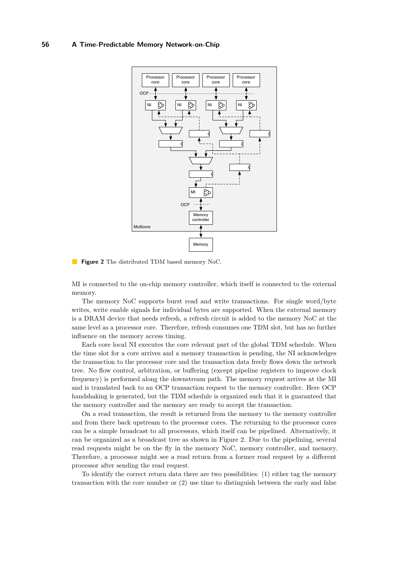<span id="page-3-0"></span>

**Figure 2** The distributed TDM based memory NoC.

MI is connected to the on-chip memory controller, which itself is connected to the external memory.

The memory NoC supports burst read and write transactions. For single word/byte writes, write enable signals for individual bytes are supported. When the external memory is a DRAM device that needs refresh, a refresh circuit is added to the memory NoC at the same level as a processor core. Therefore, refresh consumes one TDM slot, but has no further influence on the memory access timing.

Each core local NI executes the core relevant part of the global TDM schedule. When the time slot for a core arrives and a memory transaction is pending, the NI acknowledges the transaction to the processor core and the transaction data freely flows down the network tree. No flow control, arbitration, or buffering (except pipeline registers to improve clock frequency) is performed along the downstream path. The memory request arrives at the MI and is translated back to an OCP transaction request to the memory controller. Here OCP handshaking is generated, but the TDM schedule is organized such that it is guaranteed that the memory controller and the memory are ready to accept the transaction.

On a read transaction, the result is returned from the memory to the memory controller and from there back upstream to the processor cores. The returning to the processor cores can be a simple broadcast to all processors, which itself can be pipelined. Alternatively, it can be organized as a broadcast tree as shown in Figure [2.](#page-3-0) Due to the pipelining, several read requests might be on the fly in the memory NoC, memory controller, and memory. Therefore, a processor might see a read return from a former read request by a different processor after sending the read request.

To identify the correct return data there are two possibilities: (1) either tag the memory transaction with the core number or (2) use time to distinguish between the early and false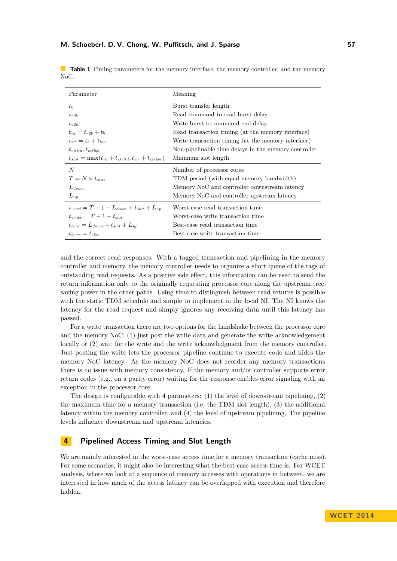| Parameter                                                   | Meaning                                              |  |  |  |  |
|-------------------------------------------------------------|------------------------------------------------------|--|--|--|--|
| $t_{b}$                                                     | Burst transfer length                                |  |  |  |  |
| $t_{r2b}$                                                   | Read command to read burst delay                     |  |  |  |  |
| $t_{b2e}$                                                   | Write burst to command end delay                     |  |  |  |  |
| $t_{rd} = t_{r2h} + t_h$                                    | Read transaction timing (at the memory interface)    |  |  |  |  |
| $t_{\rm mr} = t_b + t_{b2e}$                                | Write transaction timing (at the memory interface)   |  |  |  |  |
| $t_{ctrlrd}, t_{ctrlwr}$                                    | Non-pipelinable time delays in the memory controller |  |  |  |  |
| $t_{slot} = \max(t_{rd} + t_{ctrlrd}, t_{wr} + t_{ctrlwr})$ | Minimum slot length                                  |  |  |  |  |
| N                                                           | Number of processor cores                            |  |  |  |  |
| $T = N \times t_{slot}$                                     | TDM period (with equal memory bandwidth)             |  |  |  |  |
| $L_{down}$                                                  | Memory NoC and controller downstream latency         |  |  |  |  |
| $L_{up}$                                                    | Memory NoC and controller upstream latency           |  |  |  |  |
| $t_{word} = T - 1 + L_{down} + t_{slot} + L_{un}$           | Worst-case read transaction time                     |  |  |  |  |
| $t_{\text{uncurr}} = T - 1 + t_{\text{slot}}$               | Worst-case write transaction time                    |  |  |  |  |
| $t_{bcrd} = L_{down} + t_{slot} + L_{un}$                   | Best-case read transaction time                      |  |  |  |  |
| $t_{bcurr} = t_{slot}$                                      | Best-case write transaction time                     |  |  |  |  |

<span id="page-4-1"></span>**Table 1** Timing parameters for the memory interface, the memory controller, and the memory NoC.

and the correct read responses. With a tagged transaction and pipelining in the memory controller and memory, the memory controller needs to organize a short queue of the tags of outstanding read requests. As a positive side effect, this information can be used to send the return information only to the originally requesting processor core along the upstream tree, saving power in the other paths. Using time to distinguish between read returns is possible with the static TDM schedule and simple to implement in the local NI. The NI knows the latency for the read request and simply ignores any receiving data until this latency has passed.

For a write transaction there are two options for the handshake between the processor core and the memory NoC: (1) just post the write data and generate the write acknowledgement locally or (2) wait for the write and the write acknowledgment from the memory controller. Just posting the write lets the processor pipeline continue to execute code and hides the memory NoC latency. As the memory NoC does not reorder any memory transactions there is no issue with memory consistency. If the memory and/or controller supports error return codes (e.g., on a parity error) waiting for the response enables error signaling with an exception in the processor core.

The design is configurable with 4 parameters: (1) the level of downstream pipelining, (2) the maximum time for a memory transaction (i.e, the TDM slot length), (3) the additional latency within the memory controller, and (4) the level of upstream pipelining. The pipeline levels influence downstream and upstream latencies.

# <span id="page-4-0"></span>**4 Pipelined Access Timing and Slot Length**

We are mainly interested in the worst-case access time for a memory transaction (cache miss). For some scenarios, it might also be interesting what the best-case access time is. For WCET analysis, where we look at a sequence of memory accesses with operations in between, we are interested in how much of the access latency can be overlapped with execution and therefore hidden.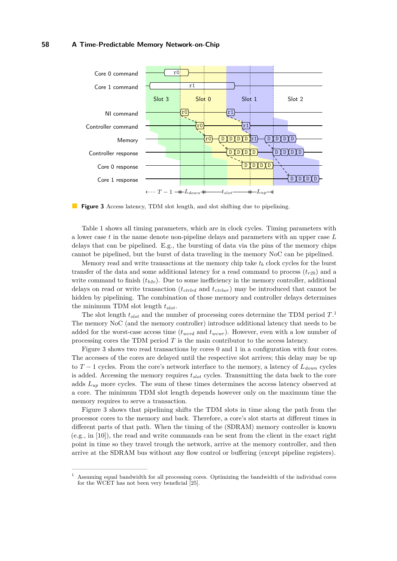#### **58 A Time-Predictable Memory Network-on-Chip**

<span id="page-5-1"></span>

**Figure 3** Access latency, TDM slot length, and slot shifting due to pipelining.

Table [1](#page-4-1) shows all timing parameters, which are in clock cycles. Timing parameters with a lower case *t* in the name denote non-pipeline delays and parameters with an upper case *L* delays that can be pipelined. E.g., the bursting of data via the pins of the memory chips cannot be pipelined, but the burst of data traveling in the memory NoC can be pipelined.

Memory read and write transactions at the memory chip take  $t<sub>b</sub>$  clock cycles for the burst transfer of the data and some additional latency for a read command to process  $(t_{r2b})$  and a write command to finish  $(t_{b2e})$ . Due to some inefficiency in the memory controller, additional delays on read or write transaction (*tctrlrd* and *tctrlwr* ) may be introduced that cannot be hidden by pipelining. The combination of those memory and controller delays determines the minimum TDM slot length *tslot*.

The slot length *tslot* and the number of processing cores determine the TDM period *T*. [1](#page-5-0) The memory NoC (and the memory controller) introduce additional latency that needs to be added for the worst-case access time  $(t_{word}$  and  $t_{wcur}$ ). However, even with a low number of processing cores the TDM period *T* is the main contributor to the access latency.

Figure [3](#page-5-1) shows two read transactions by cores 0 and 1 in a configuration with four cores. The accesses of the cores are delayed until the respective slot arrives; this delay may be up to *T* − 1 cycles. From the core's network interface to the memory, a latency of *Ldown* cycles is added. Accessing the memory requires *tslot* cycles. Transmitting the data back to the core adds *Lup* more cycles. The sum of these times determines the access latency observed at a core. The minimum TDM slot length depends however only on the maximum time the memory requires to serve a transaction.

Figure [3](#page-5-1) shows that pipelining shifts the TDM slots in time along the path from the processor cores to the memory and back. Therefore, a core's slot starts at different times in different parts of that path. When the timing of the (SDRAM) memory controller is known (e.g., in [\[10\]](#page-9-15)), the read and write commands can be sent from the client in the exact right point in time so they travel trough the network, arrive at the memory controller, and then arrive at the SDRAM bus without any flow control or buffering (except pipeline registers).

<span id="page-5-0"></span><sup>1</sup> Assuming equal bandwidth for all processing cores. Optimizing the bandwidth of the individual cores for the WCET has not been very beneficial [\[25\]](#page-9-13).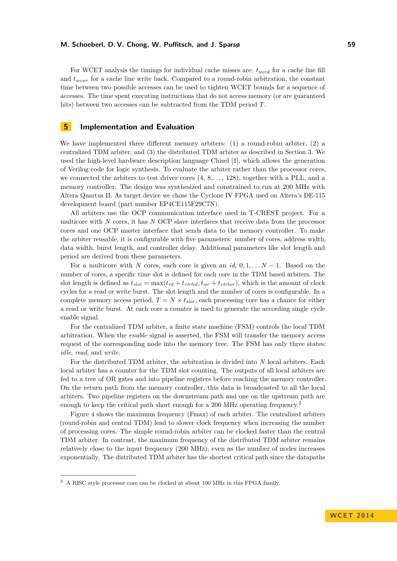## **M. Schoeberl, D. V. Chong, W. Puffitsch, and J. Sparsø 59**

For WCET analysis the timings for individual cache misses are: *twcrd* for a cache line fill and *twcwr* for a cache line write back. Compared to a round-robin arbitration, the constant time between two possible accesses can be used to tighten WCET bounds for a sequence of accesses. The time spent executing instructions that do not access memory (or are guaranteed hits) between two accesses can be subtracted from the TDM period *T*.

# <span id="page-6-0"></span>**5 Implementation and Evaluation**

We have implemented three different memory arbiters:  $(1)$  a round-robin arbiter,  $(2)$  a centralized TDM arbiter, and (3) the distributed TDM arbiter as described in Section [3.](#page-2-0) We used the high-level hardware description language Chisel [\[1\]](#page-8-8), which allows the generation of Verilog code for logic synthesis. To evaluate the arbiter rather than the processor cores, we connected the arbiters to test driver cores (4, 8,*. . .* , 128), together with a PLL, and a memory controller. The design was synthesized and constrained to run at 200 MHz with Altera Quartus II. As target device we chose the Cyclone IV FPGA used on Altera's DE-115 development board (part number EP4CE115F29C7N).

All arbiters use the OCP communication interface used in T-CREST project. For a multicore with *N* cores, it has *N* OCP slave interfaces that receive data from the processor cores and one OCP master interface that sends data to the memory controller. To make the arbiter reusable, it is configurable with five parameters: number of cores, address width, data width, burst length, and controller delay. Additional parameters like slot length and period are derived from these parameters.

For a multicore with *N* cores, each core is given an  $id$ ,  $0, 1, \ldots N-1$ . Based on the number of cores, a specific time slot is defined for each core in the TDM based arbiters. The slot length is defined as  $t_{slot} = \max(t_{rd} + t_{ctrlrd}, t_{wr} + t_{ctrlwr})$ , which is the amount of clock cycles for a read or write burst. The slot length and the number of cores is configurable. In a complete memory access period,  $T = N \times t_{slot}$ , each processing core has a chance for either a read or write burst. At each core a counter is used to generate the according single cycle enable signal.

For the centralized TDM arbiter, a finite state machine (FSM) controls the local TDM arbitration. When the *enable* signal is asserted, the FSM will transfer the memory access request of the corresponding node into the memory tree. The FSM has only three states: *idle*, *read*, and *write*.

For the distributed TDM arbiter, the arbitration is divided into *N* local arbiters. Each local arbiter has a counter for the TDM slot counting. The outputs of all local arbiters are fed to a tree of OR gates and into pipeline registers before reaching the memory controller. On the return path from the memory controller, this data is broadcasted to all the local arbiters. Two pipeline registers on the downstream path and one on the upstream path are enough to keep the critical path short enough for a [2](#page-6-1)00 MHz operating frequency.<sup>2</sup>

Figure [4](#page-7-1) shows the maximum frequency (Fmax) of each arbiter. The centralized arbiters (round-robin and central TDM) lead to slower clock frequency when increasing the number of processing cores. The simple round-robin arbiter can be clocked faster than the central TDM arbiter. In contrast, the maximum frequency of the distributed TDM arbiter remains relatively close to the input frequency (200 MHz), even as the number of nodes increases exponentially. The distributed TDM arbiter has the shortest critical path since the datapaths

<span id="page-6-1"></span> $^2\,$  A RISC style processor core can be clocked at about 100 MHz in this FPGA family.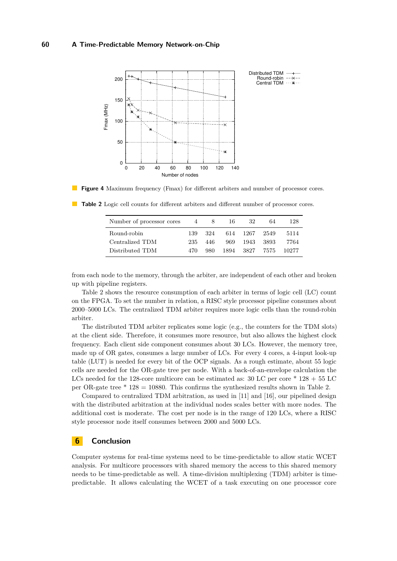<span id="page-7-1"></span>



| Number of processor cores | 4    | 8.   | 16 | -32       | 64    | 128   |
|---------------------------|------|------|----|-----------|-------|-------|
| Round-robin               | 139. | 324  |    | 614 1267  | 2549  | 5114  |
| Centralized TDM           | 235. | 446. |    | 969 1943  | -3893 | 7764  |
| Distributed TDM           | 470. | 980. |    | 1894 3827 | 7575  | 10277 |

<span id="page-7-2"></span>**Table 2** Logic cell counts for different arbiters and different number of processor cores.

from each node to the memory, through the arbiter, are independent of each other and broken up with pipeline registers.

Table [2](#page-7-2) shows the resource consumption of each arbiter in terms of logic cell (LC) count on the FPGA. To set the number in relation, a RISC style processor pipeline consumes about 2000–5000 LCs. The centralized TDM arbiter requires more logic cells than the round-robin arbiter.

The distributed TDM arbiter replicates some logic (e.g., the counters for the TDM slots) at the client side. Therefore, it consumes more resource, but also allows the highest clock frequency. Each client side component consumes about 30 LCs. However, the memory tree, made up of OR gates, consumes a large number of LCs. For every 4 cores, a 4-input look-up table (LUT) is needed for every bit of the OCP signals. As a rough estimate, about 55 logic cells are needed for the OR-gate tree per node. With a back-of-an-envelope calculation the LCs needed for the 128-core multicore can be estimated as:  $30$  LC per core  $*$  128 + 55 LC per OR-gate tree \* 128 = 10880. This confirms the synthesized results shown in Table [2.](#page-7-2)

Compared to centralized TDM arbitration, as used in  $[11]$  and  $[16]$ , our pipelined design with the distributed arbitration at the individual nodes scales better with more nodes. The additional cost is moderate. The cost per node is in the range of 120 LCs, where a RISC style processor node itself consumes between 2000 and 5000 LCs.

# <span id="page-7-0"></span>**6 Conclusion**

Computer systems for real-time systems need to be time-predictable to allow static WCET analysis. For multicore processors with shared memory the access to this shared memory needs to be time-predictable as well. A time-division multiplexing (TDM) arbiter is timepredictable. It allows calculating the WCET of a task executing on one processor core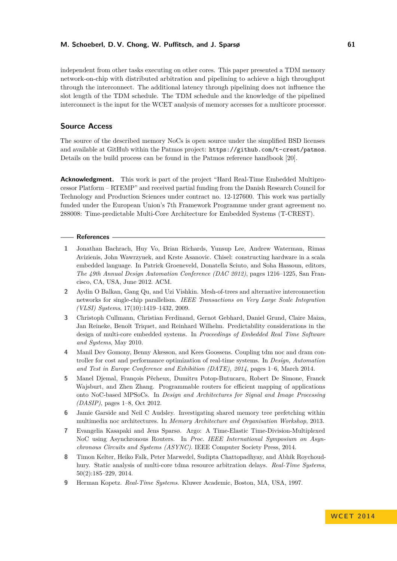### **M. Schoeberl, D. V. Chong, W. Puffitsch, and J. Sparsø 61**

independent from other tasks executing on other cores. This paper presented a TDM memory network-on-chip with distributed arbitration and pipelining to achieve a high throughput through the interconnect. The additional latency through pipelining does not influence the slot length of the TDM schedule. The TDM schedule and the knowledge of the pipelined interconnect is the input for the WCET analysis of memory accesses for a multicore processor.

## **Source Access**

The source of the described memory NoCs is open source under the simplified BSD licenses and available at GitHub within the Patmos project: <https://github.com/t-crest/patmos>. Details on the build process can be found in the Patmos reference handbook [\[20\]](#page-9-16).

**Acknowledgment.** This work is part of the project "Hard Real-Time Embedded Multiprocessor Platform – RTEMP" and received partial funding from the Danish Research Council for Technology and Production Sciences under contract no. 12-127600. This work was partially funded under the European Union's 7th Framework Programme under grant agreement no. 288008: Time-predictable Multi-Core Architecture for Embedded Systems (T-CREST).

### **References**

- <span id="page-8-8"></span>**1** Jonathan Bachrach, Huy Vo, Brian Richards, Yunsup Lee, Andrew Waterman, Rimas Avizienis, John Wawrzynek, and Krste Asanovic. Chisel: constructing hardware in a scala embedded language. In Patrick Groeneveld, Donatella Sciuto, and Soha Hassoun, editors, *The 49th Annual Design Automation Conference (DAC 2012)*, pages 1216–1225, San Francisco, CA, USA, June 2012. ACM.
- <span id="page-8-3"></span>**2** Aydin O Balkan, Gang Qu, and Uzi Vishkin. Mesh-of-trees and alternative interconnection networks for single-chip parallelism. *IEEE Transactions on Very Large Scale Integration (VLSI) Systems*, 17(10):1419–1432, 2009.
- <span id="page-8-1"></span>**3** Christoph Cullmann, Christian Ferdinand, Gernot Gebhard, Daniel Grund, Claire Maiza, Jan Reineke, Benoît Triquet, and Reinhard Wilhelm. Predictability considerations in the design of multi-core embedded systems. In *Proceedings of Embedded Real Time Software and Systems*, May 2010.
- <span id="page-8-6"></span>**4** Manil Dev Gomony, Benny Akesson, and Kees Goossens. Coupling tdm noc and dram controller for cost and performance optimization of real-time systems. In *Design, Automation and Test in Europe Conference and Exhibition (DATE), 2014*, pages 1–6, March 2014.
- <span id="page-8-2"></span>**5** Manel Djemal, François Pêcheux, Dumitru Potop-Butucaru, Robert De Simone, Franck Wajsburt, and Zhen Zhang. Programmable routers for efficient mapping of applications onto NoC-based MPSoCs. In *Design and Architectures for Signal and Image Processing (DASIP)*, pages 1–8, Oct 2012.
- <span id="page-8-4"></span>**6** Jamie Garside and Neil C Audsley. Investigating shared memory tree prefetching within multimedia noc architectures. In *Memory Architecture and Organisation Workshop*, 2013.
- <span id="page-8-0"></span>**7** Evangelia Kasapaki and Jens Sparsø. Argo: A Time-Elastic Time-Division-Multiplexed NoC using Asynchronous Routers. In *Proc. IEEE International Symposium on Asynchronous Circuits and Systems (ASYNC)*. IEEE Computer Society Press, 2014.
- <span id="page-8-7"></span>**8** Timon Kelter, Heiko Falk, Peter Marwedel, Sudipta Chattopadhyay, and Abhik Roychoudhury. Static analysis of multi-core tdma resource arbitration delays. *Real-Time Systems*, 50(2):185–229, 2014.
- <span id="page-8-5"></span>**9** Herman Kopetz. *Real-Time Systems*. Kluwer Academic, Boston, MA, USA, 1997.